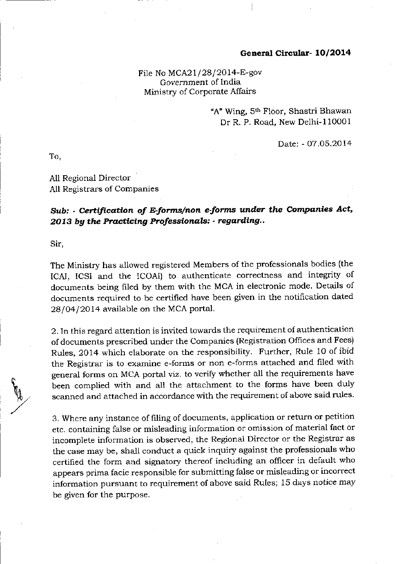#### General Circular- 10/2014

File No MCA2 $1/28/2014$ -E-gov Govemment of India Ministry of Corporate Affairs

> "A" Wing, 5<sup>th</sup> Floor, Shastri Bhawan Dr R. P. Road, New Delhi-110O01

> > Date: - O7.O5.2O 14

To,

All Regional Director All Registrars of Companies

## Sub: - Certification of E-forms/non e-forms under the Companies Act,  $2013$  by the Practicing Professionals:  $\cdot$  regarding..

Sir,

**VA** 

The Ministry has allowed registered Members of the professionals bodies (the ICAI, ICSI and the ICOAI) to authenticate correctness and integrity of documents being filed by them with the MCA in electronic mode. Details of documents required to be certifled have been given in the notification dated 28/04/2014 available on the MCA portal.

2. In this regard attention is invited towards the requirement of authentication of documents prescribed under the Companies (Registration Offices and Fees) Rules, 2014 which elaborate on the responsibility. Further, Rule 1O of ibid the Registrar is to examine e-forms or non e-forms attached and filed with general forms on MCA portal viz. to verify whether all the requirements have been complied with and all the attachment to the forms have been duly scanned and attached in accordance with the requirement of above said rules.

3. Where any instance of filing of documents, application or return or petition etc. containing false or misleading information or omission of material fact or incomplete information is observed, the Regional Director or the Registrar as the case may be, shall conduct a quick inquiry against the professionals who certified the form and signatory thereof including an officer in default who appears prima facie responsible for submitting lalse or misleading or incorrect information pursuant to requirement of above said Rules; 15 days notice may be given for the purpose.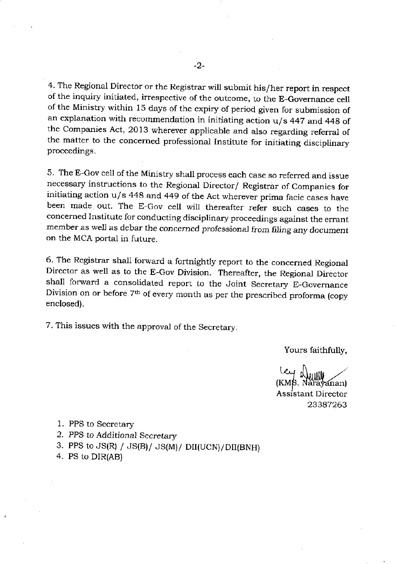4. The Regional Director or the Registrar will submit his/her report in respect of the inquiry initiated, irrespective of the outcome, to the E-Governance cell of the Ministry within 15 days of the expiry of period given for submission of an explanation with recommendation in initiating action  $u/s$  447 and 448 of the Companies Act, 2013 wherever applicable and also regarding referral of the matter to the concemed professional Institute for initiating disciplinary proceedings.

5. The E-Gov cell of the Ministry shall process each case so referred and issue necessary instructions to the Regional Director/ Registrar of Companies for initiating action u/s 448 and 449 of the Act wherever prima facie cases have been made out. The E-Gov cell will thereafter refer such cases to the concerned Institute for conducting disciplinary proceedings against the errant member as well as debar the concerned professional from filing any document on the MCA portal in future.

6. The Registrar shall forward a fortnightly report to the concemed Regional Director as well as to the E-Gov Division, Thereafter, the Regional Director shall forward a consolidated report to the Joint Secretary E\_Governance Division on or before 7<sup>th</sup> of every month as per the prescribed proforma (copy enclosed).

7. This issues with the approval of the Secretary.

Yours faithfully,

(KMS. Nǎr̃aỹanan)<br>Assistant Director<br>23387263

- 1. PPS to Secretary
- 2. PPS to Additional Secretary
- 3. PPS to  $JS(R) / JS(B)/ JS(M)/ DI(UCN)/DI(BNH)$
- 4. PS to DIR(AB)